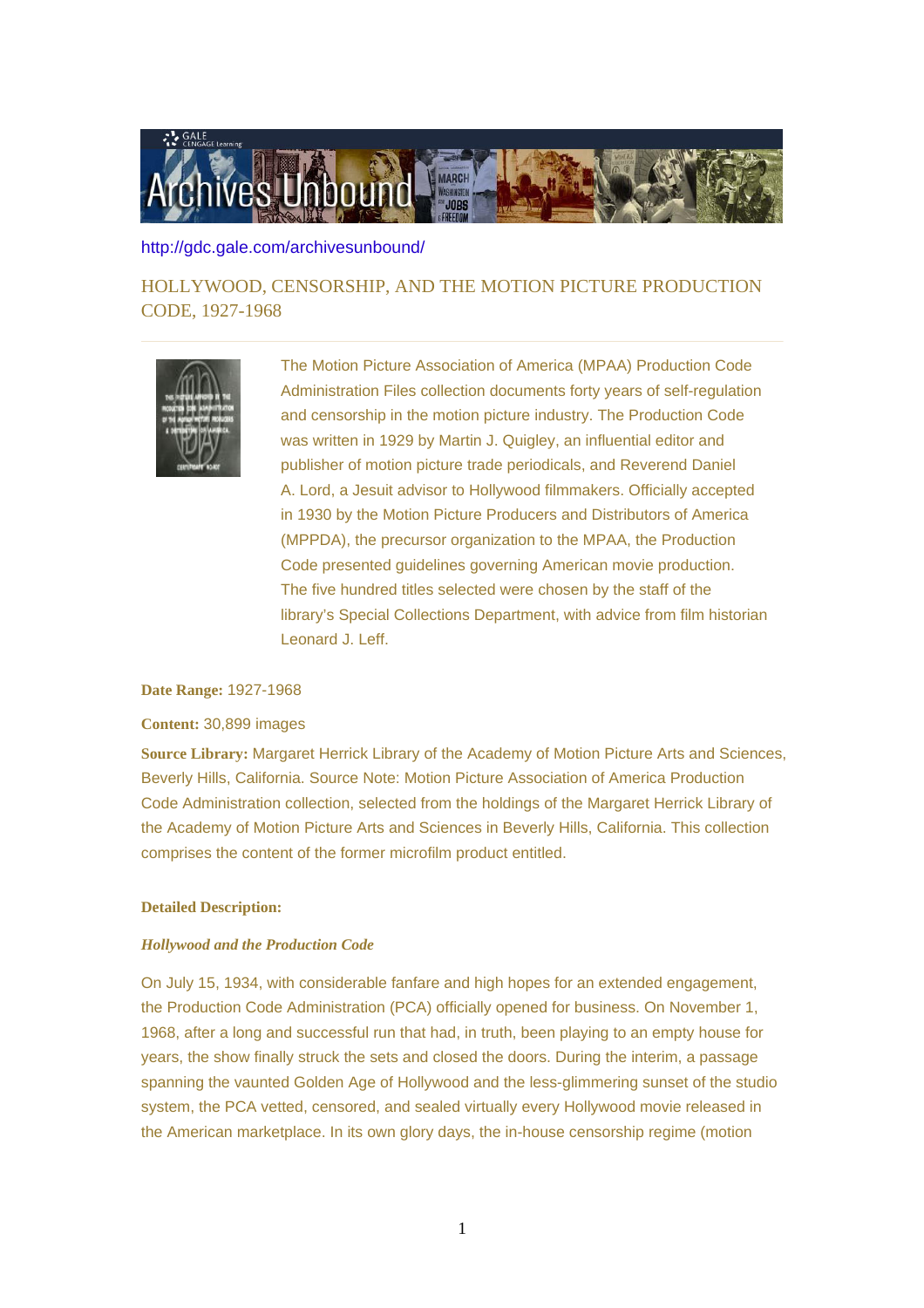

## <http://gdc.gale.com/archivesunbound/>

HOLLYWOOD, CENSORSHIP, AND THE MOTION PICTURE PRODUCTION CODE, 1927-1968



The Motion Picture Association of America (MPAA) Production Code Administration Files collection documents forty years of self-regulation and censorship in the motion picture industry. The Production Code was written in 1929 by Martin J. Quigley, an influential editor and publisher of motion picture trade periodicals, and Reverend Daniel A. Lord, a Jesuit advisor to Hollywood filmmakers. Officially accepted in 1930 by the Motion Picture Producers and Distributors of America (MPPDA), the precursor organization to the MPAA, the Production Code presented guidelines governing American movie production. The five hundred titles selected were chosen by the staff of the library's Special Collections Department, with advice from film historian Leonard J. Leff.

## **Date Range:** 1927-1968

## **Content:** 30,899 images

**Source Library:** Margaret Herrick Library of the Academy of Motion Picture Arts and Sciences, Beverly Hills, California. Source Note: Motion Picture Association of America Production Code Administration collection, selected from the holdings of the Margaret Herrick Library of the Academy of Motion Picture Arts and Sciences in Beverly Hills, California. This collection comprises the content of the former microfilm product entitled.

# **Detailed Description:**

## *Hollywood and the Production Code*

On July 15, 1934, with considerable fanfare and high hopes for an extended engagement, the Production Code Administration (PCA) officially opened for business. On November 1, 1968, after a long and successful run that had, in truth, been playing to an empty house for years, the show finally struck the sets and closed the doors. During the interim, a passage spanning the vaunted Golden Age of Hollywood and the less-glimmering sunset of the studio system, the PCA vetted, censored, and sealed virtually every Hollywood movie released in the American marketplace. In its own glory days, the in-house censorship regime (motion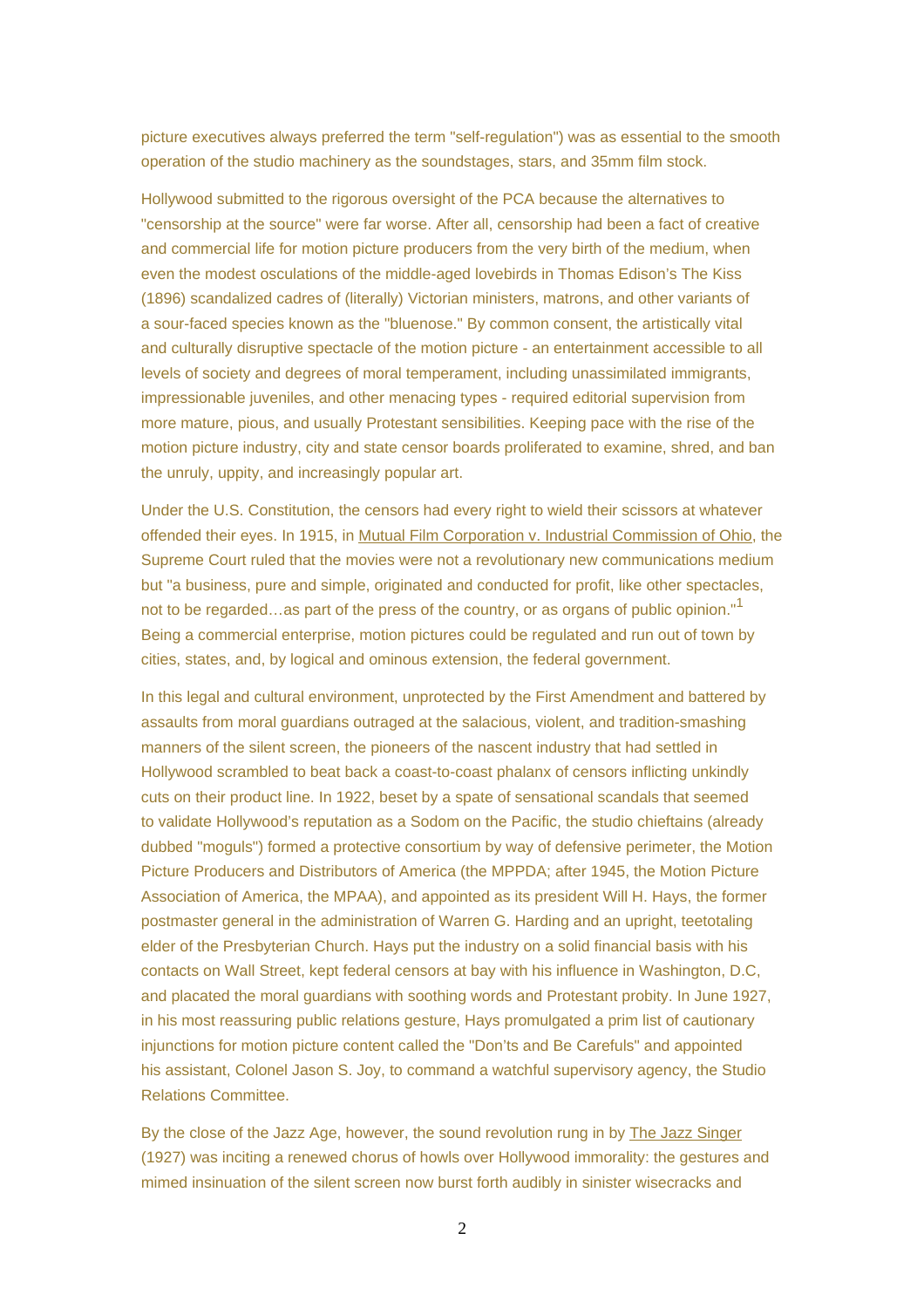picture executives always preferred the term "self-regulation") was as essential to the smooth operation of the studio machinery as the soundstages, stars, and 35mm film stock.

Hollywood submitted to the rigorous oversight of the PCA because the alternatives to "censorship at the source" were far worse. After all, censorship had been a fact of creative and commercial life for motion picture producers from the very birth of the medium, when even the modest osculations of the middle-aged lovebirds in Thomas Edison's The Kiss (1896) scandalized cadres of (literally) Victorian ministers, matrons, and other variants of a sour-faced species known as the "bluenose." By common consent, the artistically vital and culturally disruptive spectacle of the motion picture - an entertainment accessible to all levels of society and degrees of moral temperament, including unassimilated immigrants, impressionable juveniles, and other menacing types - required editorial supervision from more mature, pious, and usually Protestant sensibilities. Keeping pace with the rise of the motion picture industry, city and state censor boards proliferated to examine, shred, and ban the unruly, uppity, and increasingly popular art.

Under the U.S. Constitution, the censors had every right to wield their scissors at whatever offended their eyes. In 1915, in Mutual Film Corporation v. Industrial Commission of Ohio, the Supreme Court ruled that the movies were not a revolutionary new communications medium but "a business, pure and simple, originated and conducted for profit, like other spectacles, not to be regarded…as part of the press of the country, or as organs of public opinion."<sup>1</sup> Being a commercial enterprise, motion pictures could be regulated and run out of town by cities, states, and, by logical and ominous extension, the federal government.

In this legal and cultural environment, unprotected by the First Amendment and battered by assaults from moral guardians outraged at the salacious, violent, and tradition-smashing manners of the silent screen, the pioneers of the nascent industry that had settled in Hollywood scrambled to beat back a coast-to-coast phalanx of censors inflicting unkindly cuts on their product line. In 1922, beset by a spate of sensational scandals that seemed to validate Hollywood's reputation as a Sodom on the Pacific, the studio chieftains (already dubbed "moguls") formed a protective consortium by way of defensive perimeter, the Motion Picture Producers and Distributors of America (the MPPDA; after 1945, the Motion Picture Association of America, the MPAA), and appointed as its president Will H. Hays, the former postmaster general in the administration of Warren G. Harding and an upright, teetotaling elder of the Presbyterian Church. Hays put the industry on a solid financial basis with his contacts on Wall Street, kept federal censors at bay with his influence in Washington, D.C, and placated the moral guardians with soothing words and Protestant probity. In June 1927, in his most reassuring public relations gesture, Hays promulgated a prim list of cautionary injunctions for motion picture content called the "Don'ts and Be Carefuls" and appointed his assistant, Colonel Jason S. Joy, to command a watchful supervisory agency, the Studio Relations Committee.

By the close of the Jazz Age, however, the sound revolution rung in by The Jazz Singer (1927) was inciting a renewed chorus of howls over Hollywood immorality: the gestures and mimed insinuation of the silent screen now burst forth audibly in sinister wisecracks and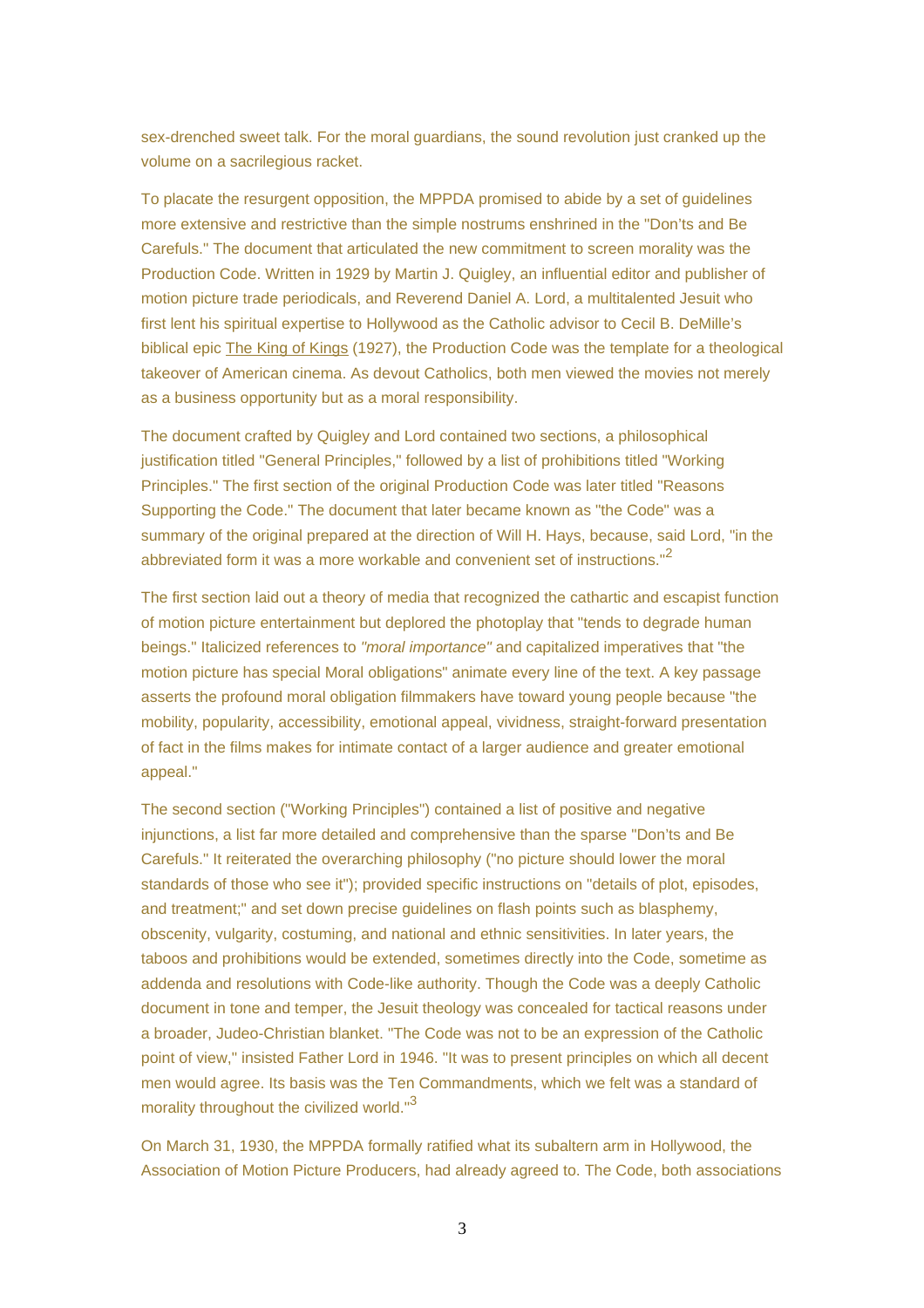sex-drenched sweet talk. For the moral guardians, the sound revolution just cranked up the volume on a sacrilegious racket.

To placate the resurgent opposition, the MPPDA promised to abide by a set of guidelines more extensive and restrictive than the simple nostrums enshrined in the "Don'ts and Be Carefuls." The document that articulated the new commitment to screen morality was the Production Code. Written in 1929 by Martin J. Quigley, an influential editor and publisher of motion picture trade periodicals, and Reverend Daniel A. Lord, a multitalented Jesuit who first lent his spiritual expertise to Hollywood as the Catholic advisor to Cecil B. DeMille's biblical epic The King of Kings (1927), the Production Code was the template for a theological takeover of American cinema. As devout Catholics, both men viewed the movies not merely as a business opportunity but as a moral responsibility.

The document crafted by Quigley and Lord contained two sections, a philosophical justification titled "General Principles," followed by a list of prohibitions titled "Working Principles." The first section of the original Production Code was later titled "Reasons Supporting the Code." The document that later became known as "the Code" was a summary of the original prepared at the direction of Will H. Hays, because, said Lord, "in the abbreviated form it was a more workable and convenient set of instructions."<sup>2</sup>

The first section laid out a theory of media that recognized the cathartic and escapist function of motion picture entertainment but deplored the photoplay that "tends to degrade human beings." Italicized references to "moral importance" and capitalized imperatives that "the motion picture has special Moral obligations" animate every line of the text. A key passage asserts the profound moral obligation filmmakers have toward young people because "the mobility, popularity, accessibility, emotional appeal, vividness, straight-forward presentation of fact in the films makes for intimate contact of a larger audience and greater emotional appeal."

The second section ("Working Principles") contained a list of positive and negative injunctions, a list far more detailed and comprehensive than the sparse "Don'ts and Be Carefuls." It reiterated the overarching philosophy ("no picture should lower the moral standards of those who see it"); provided specific instructions on "details of plot, episodes, and treatment;" and set down precise guidelines on flash points such as blasphemy, obscenity, vulgarity, costuming, and national and ethnic sensitivities. In later years, the taboos and prohibitions would be extended, sometimes directly into the Code, sometime as addenda and resolutions with Code-like authority. Though the Code was a deeply Catholic document in tone and temper, the Jesuit theology was concealed for tactical reasons under a broader, Judeo-Christian blanket. "The Code was not to be an expression of the Catholic point of view," insisted Father Lord in 1946. "It was to present principles on which all decent men would agree. Its basis was the Ten Commandments, which we felt was a standard of morality throughout the civilized world."<sup>3</sup>

On March 31, 1930, the MPPDA formally ratified what its subaltern arm in Hollywood, the Association of Motion Picture Producers, had already agreed to. The Code, both associations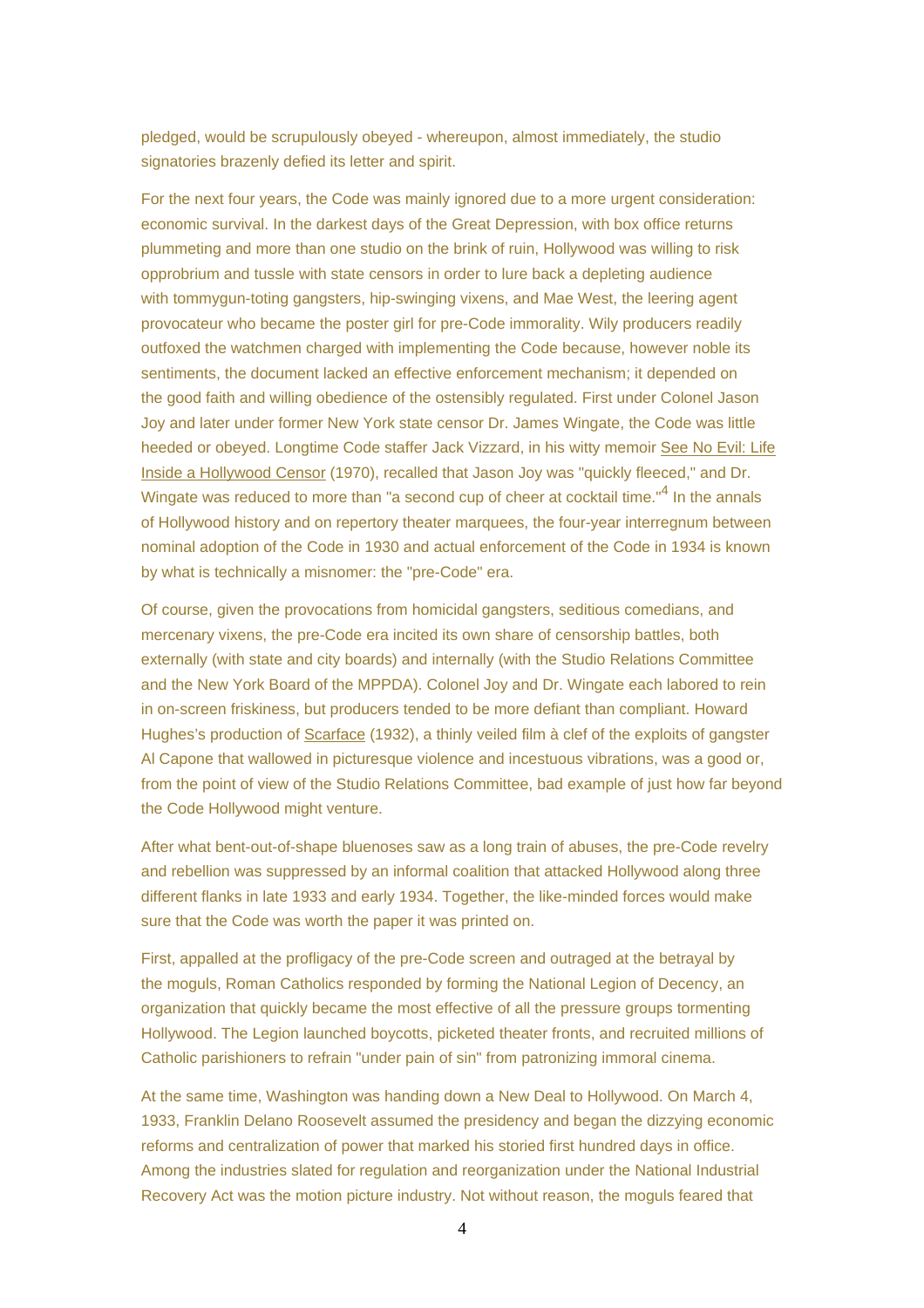pledged, would be scrupulously obeyed - whereupon, almost immediately, the studio signatories brazenly defied its letter and spirit.

For the next four years, the Code was mainly ignored due to a more urgent consideration: economic survival. In the darkest days of the Great Depression, with box office returns plummeting and more than one studio on the brink of ruin, Hollywood was willing to risk opprobrium and tussle with state censors in order to lure back a depleting audience with tommygun-toting gangsters, hip-swinging vixens, and Mae West, the leering agent provocateur who became the poster girl for pre-Code immorality. Wily producers readily outfoxed the watchmen charged with implementing the Code because, however noble its sentiments, the document lacked an effective enforcement mechanism; it depended on the good faith and willing obedience of the ostensibly regulated. First under Colonel Jason Joy and later under former New York state censor Dr. James Wingate, the Code was little heeded or obeyed. Longtime Code staffer Jack Vizzard, in his witty memoir See No Evil: Life Inside a Hollywood Censor (1970), recalled that Jason Joy was "quickly fleeced," and Dr. Wingate was reduced to more than "a second cup of cheer at cocktail time."<sup>4</sup> In the annals of Hollywood history and on repertory theater marquees, the four-year interregnum between nominal adoption of the Code in 1930 and actual enforcement of the Code in 1934 is known by what is technically a misnomer: the "pre-Code" era.

Of course, given the provocations from homicidal gangsters, seditious comedians, and mercenary vixens, the pre-Code era incited its own share of censorship battles, both externally (with state and city boards) and internally (with the Studio Relations Committee and the New York Board of the MPPDA). Colonel Joy and Dr. Wingate each labored to rein in on-screen friskiness, but producers tended to be more defiant than compliant. Howard Hughes's production of Scarface (1932), a thinly veiled film à clef of the exploits of gangster Al Capone that wallowed in picturesque violence and incestuous vibrations, was a good or, from the point of view of the Studio Relations Committee, bad example of just how far beyond the Code Hollywood might venture.

After what bent-out-of-shape bluenoses saw as a long train of abuses, the pre-Code revelry and rebellion was suppressed by an informal coalition that attacked Hollywood along three different flanks in late 1933 and early 1934. Together, the like-minded forces would make sure that the Code was worth the paper it was printed on.

First, appalled at the profligacy of the pre-Code screen and outraged at the betrayal by the moguls, Roman Catholics responded by forming the National Legion of Decency, an organization that quickly became the most effective of all the pressure groups tormenting Hollywood. The Legion launched boycotts, picketed theater fronts, and recruited millions of Catholic parishioners to refrain "under pain of sin" from patronizing immoral cinema.

At the same time, Washington was handing down a New Deal to Hollywood. On March 4, 1933, Franklin Delano Roosevelt assumed the presidency and began the dizzying economic reforms and centralization of power that marked his storied first hundred days in office. Among the industries slated for regulation and reorganization under the National Industrial Recovery Act was the motion picture industry. Not without reason, the moguls feared that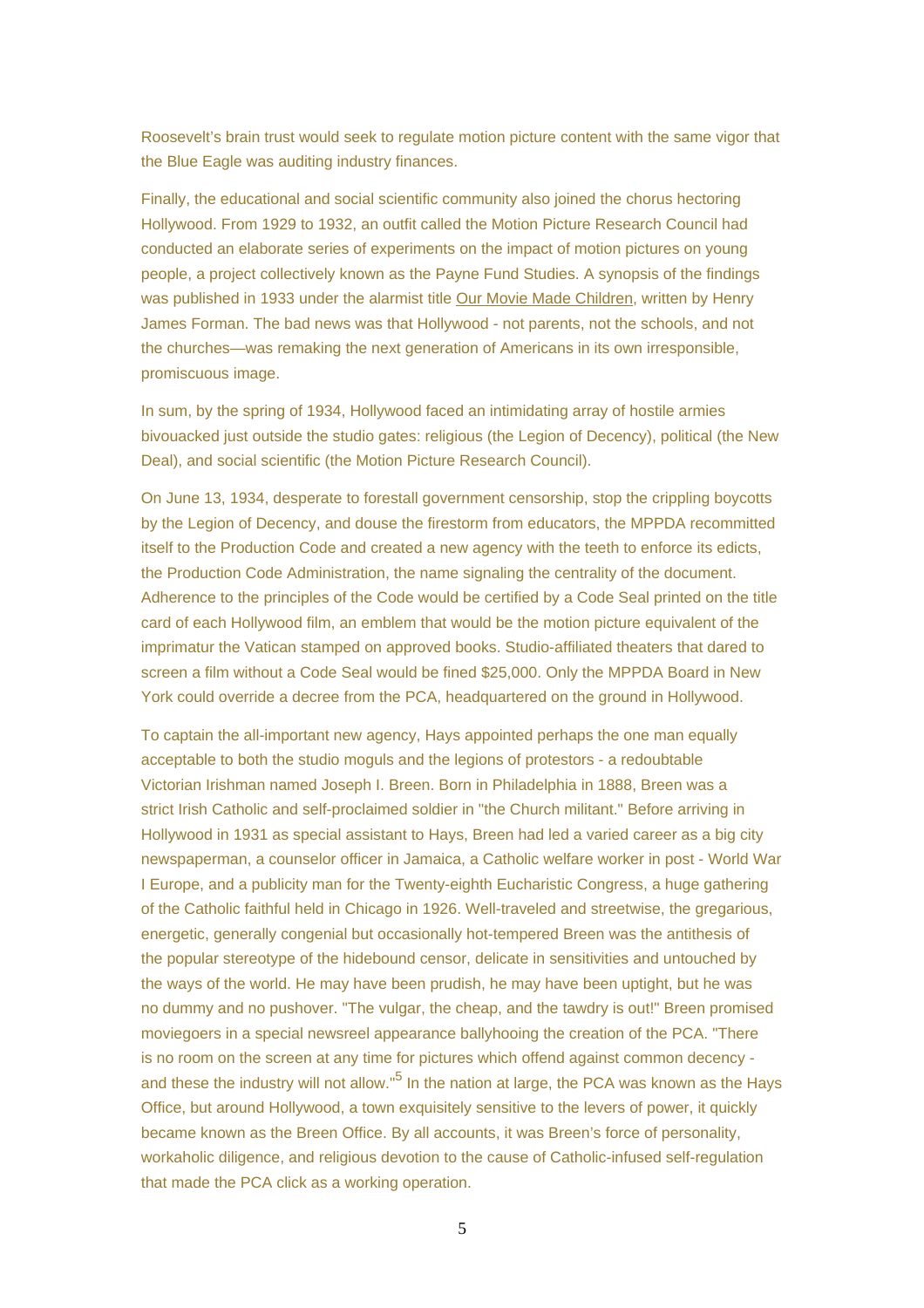Roosevelt's brain trust would seek to regulate motion picture content with the same vigor that the Blue Eagle was auditing industry finances.

Finally, the educational and social scientific community also joined the chorus hectoring Hollywood. From 1929 to 1932, an outfit called the Motion Picture Research Council had conducted an elaborate series of experiments on the impact of motion pictures on young people, a project collectively known as the Payne Fund Studies. A synopsis of the findings was published in 1933 under the alarmist title Our Movie Made Children, written by Henry James Forman. The bad news was that Hollywood - not parents, not the schools, and not the churches—was remaking the next generation of Americans in its own irresponsible, promiscuous image.

In sum, by the spring of 1934, Hollywood faced an intimidating array of hostile armies bivouacked just outside the studio gates: religious (the Legion of Decency), political (the New Deal), and social scientific (the Motion Picture Research Council).

On June 13, 1934, desperate to forestall government censorship, stop the crippling boycotts by the Legion of Decency, and douse the firestorm from educators, the MPPDA recommitted itself to the Production Code and created a new agency with the teeth to enforce its edicts, the Production Code Administration, the name signaling the centrality of the document. Adherence to the principles of the Code would be certified by a Code Seal printed on the title card of each Hollywood film, an emblem that would be the motion picture equivalent of the imprimatur the Vatican stamped on approved books. Studio-affiliated theaters that dared to screen a film without a Code Seal would be fined \$25,000. Only the MPPDA Board in New York could override a decree from the PCA, headquartered on the ground in Hollywood.

To captain the all-important new agency, Hays appointed perhaps the one man equally acceptable to both the studio moguls and the legions of protestors - a redoubtable Victorian Irishman named Joseph I. Breen. Born in Philadelphia in 1888, Breen was a strict Irish Catholic and self-proclaimed soldier in "the Church militant." Before arriving in Hollywood in 1931 as special assistant to Hays, Breen had led a varied career as a big city newspaperman, a counselor officer in Jamaica, a Catholic welfare worker in post - World War I Europe, and a publicity man for the Twenty-eighth Eucharistic Congress, a huge gathering of the Catholic faithful held in Chicago in 1926. Well-traveled and streetwise, the gregarious, energetic, generally congenial but occasionally hot-tempered Breen was the antithesis of the popular stereotype of the hidebound censor, delicate in sensitivities and untouched by the ways of the world. He may have been prudish, he may have been uptight, but he was no dummy and no pushover. "The vulgar, the cheap, and the tawdry is out!" Breen promised moviegoers in a special newsreel appearance ballyhooing the creation of the PCA. "There is no room on the screen at any time for pictures which offend against common decency and these the industry will not allow."<sup>5</sup> In the nation at large, the PCA was known as the Hays Office, but around Hollywood, a town exquisitely sensitive to the levers of power, it quickly became known as the Breen Office. By all accounts, it was Breen's force of personality, workaholic diligence, and religious devotion to the cause of Catholic-infused self-regulation that made the PCA click as a working operation.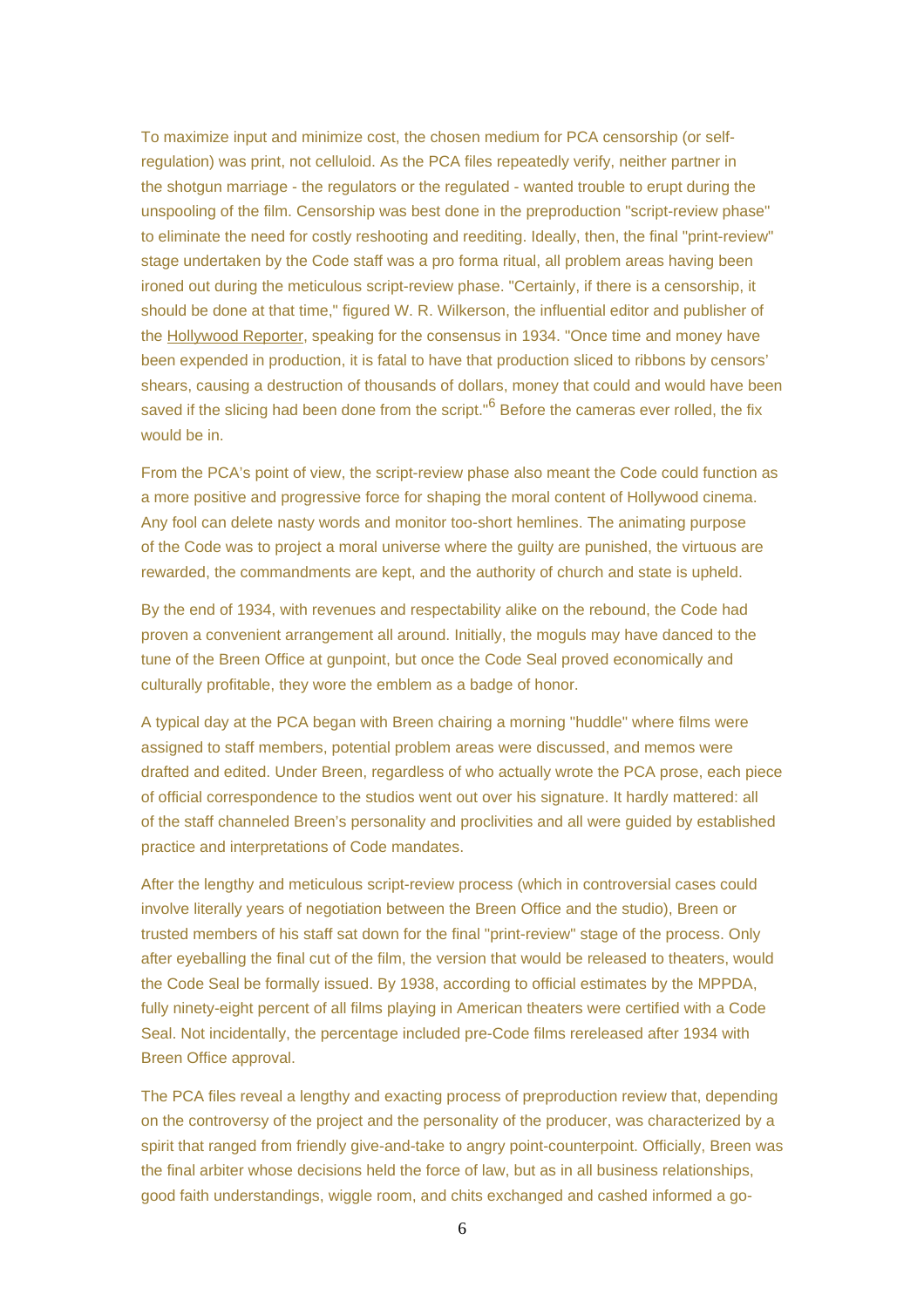To maximize input and minimize cost, the chosen medium for PCA censorship (or selfregulation) was print, not celluloid. As the PCA files repeatedly verify, neither partner in the shotgun marriage - the regulators or the regulated - wanted trouble to erupt during the unspooling of the film. Censorship was best done in the preproduction "script-review phase" to eliminate the need for costly reshooting and reediting. Ideally, then, the final "print-review" stage undertaken by the Code staff was a pro forma ritual, all problem areas having been ironed out during the meticulous script-review phase. "Certainly, if there is a censorship, it should be done at that time," figured W. R. Wilkerson, the influential editor and publisher of the Hollywood Reporter, speaking for the consensus in 1934. "Once time and money have been expended in production, it is fatal to have that production sliced to ribbons by censors' shears, causing a destruction of thousands of dollars, money that could and would have been saved if the slicing had been done from the script."<sup>6</sup> Before the cameras ever rolled, the fix would be in.

From the PCA's point of view, the script-review phase also meant the Code could function as a more positive and progressive force for shaping the moral content of Hollywood cinema. Any fool can delete nasty words and monitor too-short hemlines. The animating purpose of the Code was to project a moral universe where the guilty are punished, the virtuous are rewarded, the commandments are kept, and the authority of church and state is upheld.

By the end of 1934, with revenues and respectability alike on the rebound, the Code had proven a convenient arrangement all around. Initially, the moguls may have danced to the tune of the Breen Office at gunpoint, but once the Code Seal proved economically and culturally profitable, they wore the emblem as a badge of honor.

A typical day at the PCA began with Breen chairing a morning "huddle" where films were assigned to staff members, potential problem areas were discussed, and memos were drafted and edited. Under Breen, regardless of who actually wrote the PCA prose, each piece of official correspondence to the studios went out over his signature. It hardly mattered: all of the staff channeled Breen's personality and proclivities and all were guided by established practice and interpretations of Code mandates.

After the lengthy and meticulous script-review process (which in controversial cases could involve literally years of negotiation between the Breen Office and the studio), Breen or trusted members of his staff sat down for the final "print-review" stage of the process. Only after eyeballing the final cut of the film, the version that would be released to theaters, would the Code Seal be formally issued. By 1938, according to official estimates by the MPPDA, fully ninety-eight percent of all films playing in American theaters were certified with a Code Seal. Not incidentally, the percentage included pre-Code films rereleased after 1934 with Breen Office approval.

The PCA files reveal a lengthy and exacting process of preproduction review that, depending on the controversy of the project and the personality of the producer, was characterized by a spirit that ranged from friendly give-and-take to angry point-counterpoint. Officially, Breen was the final arbiter whose decisions held the force of law, but as in all business relationships, good faith understandings, wiggle room, and chits exchanged and cashed informed a go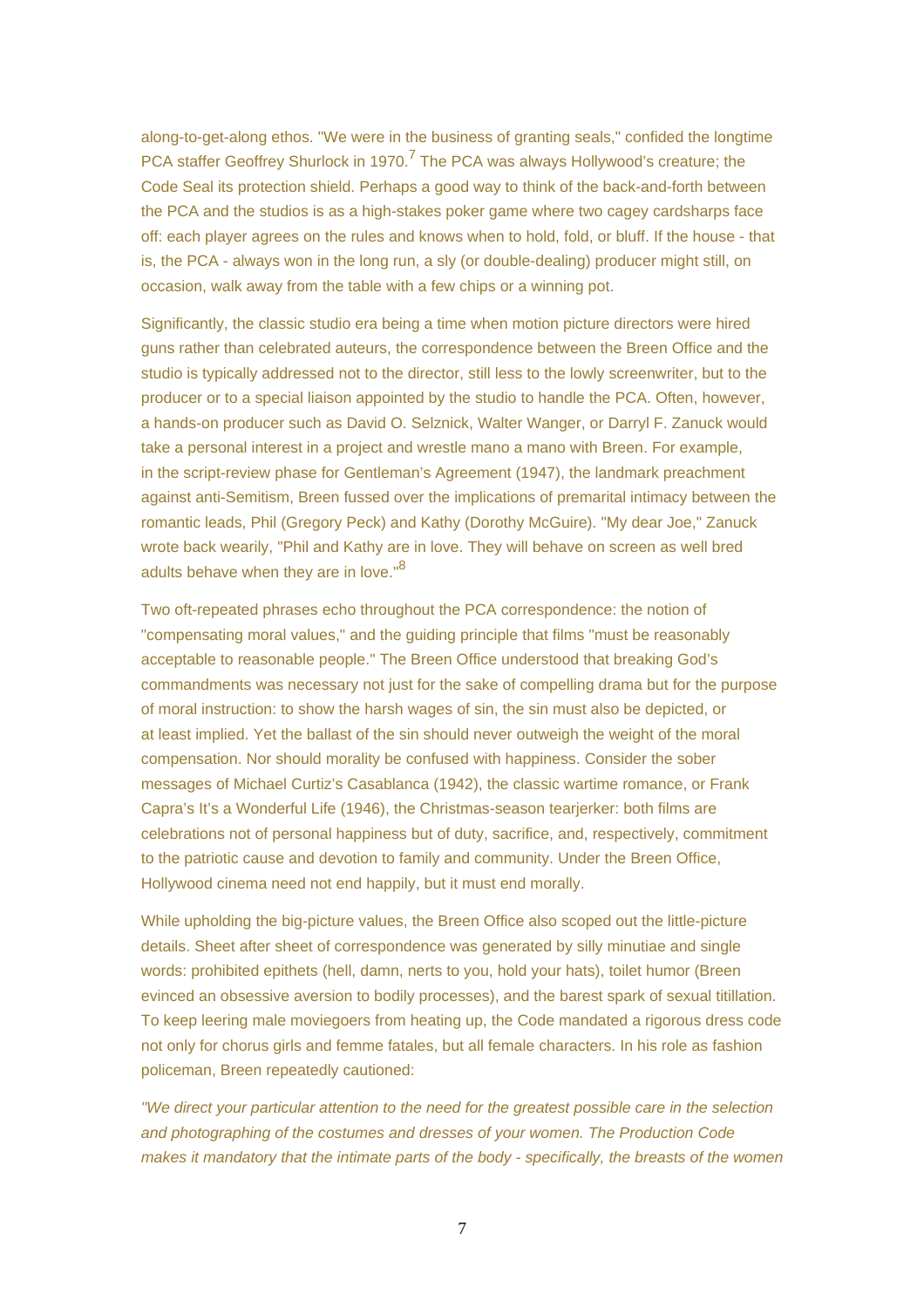along-to-get-along ethos. "We were in the business of granting seals," confided the longtime PCA staffer Geoffrey Shurlock in 1970.<sup>7</sup> The PCA was always Hollywood's creature; the Code Seal its protection shield. Perhaps a good way to think of the back-and-forth between the PCA and the studios is as a high-stakes poker game where two cagey cardsharps face off: each player agrees on the rules and knows when to hold, fold, or bluff. If the house - that is, the PCA - always won in the long run, a sly (or double-dealing) producer might still, on occasion, walk away from the table with a few chips or a winning pot.

Significantly, the classic studio era being a time when motion picture directors were hired guns rather than celebrated auteurs, the correspondence between the Breen Office and the studio is typically addressed not to the director, still less to the lowly screenwriter, but to the producer or to a special liaison appointed by the studio to handle the PCA. Often, however, a hands-on producer such as David O. Selznick, Walter Wanger, or Darryl F. Zanuck would take a personal interest in a project and wrestle mano a mano with Breen. For example, in the script-review phase for Gentleman's Agreement (1947), the landmark preachment against anti-Semitism, Breen fussed over the implications of premarital intimacy between the romantic leads, Phil (Gregory Peck) and Kathy (Dorothy McGuire). "My dear Joe," Zanuck wrote back wearily, "Phil and Kathy are in love. They will behave on screen as well bred adults behave when they are in love."<sup>8</sup>

Two oft-repeated phrases echo throughout the PCA correspondence: the notion of "compensating moral values," and the guiding principle that films "must be reasonably acceptable to reasonable people." The Breen Office understood that breaking God's commandments was necessary not just for the sake of compelling drama but for the purpose of moral instruction: to show the harsh wages of sin, the sin must also be depicted, or at least implied. Yet the ballast of the sin should never outweigh the weight of the moral compensation. Nor should morality be confused with happiness. Consider the sober messages of Michael Curtiz's Casablanca (1942), the classic wartime romance, or Frank Capra's It's a Wonderful Life (1946), the Christmas-season tearjerker: both films are celebrations not of personal happiness but of duty, sacrifice, and, respectively, commitment to the patriotic cause and devotion to family and community. Under the Breen Office, Hollywood cinema need not end happily, but it must end morally.

While upholding the big-picture values, the Breen Office also scoped out the little-picture details. Sheet after sheet of correspondence was generated by silly minutiae and single words: prohibited epithets (hell, damn, nerts to you, hold your hats), toilet humor (Breen evinced an obsessive aversion to bodily processes), and the barest spark of sexual titillation. To keep leering male moviegoers from heating up, the Code mandated a rigorous dress code not only for chorus girls and femme fatales, but all female characters. In his role as fashion policeman, Breen repeatedly cautioned:

"We direct your particular attention to the need for the greatest possible care in the selection and photographing of the costumes and dresses of your women. The Production Code makes it mandatory that the intimate parts of the body - specifically, the breasts of the women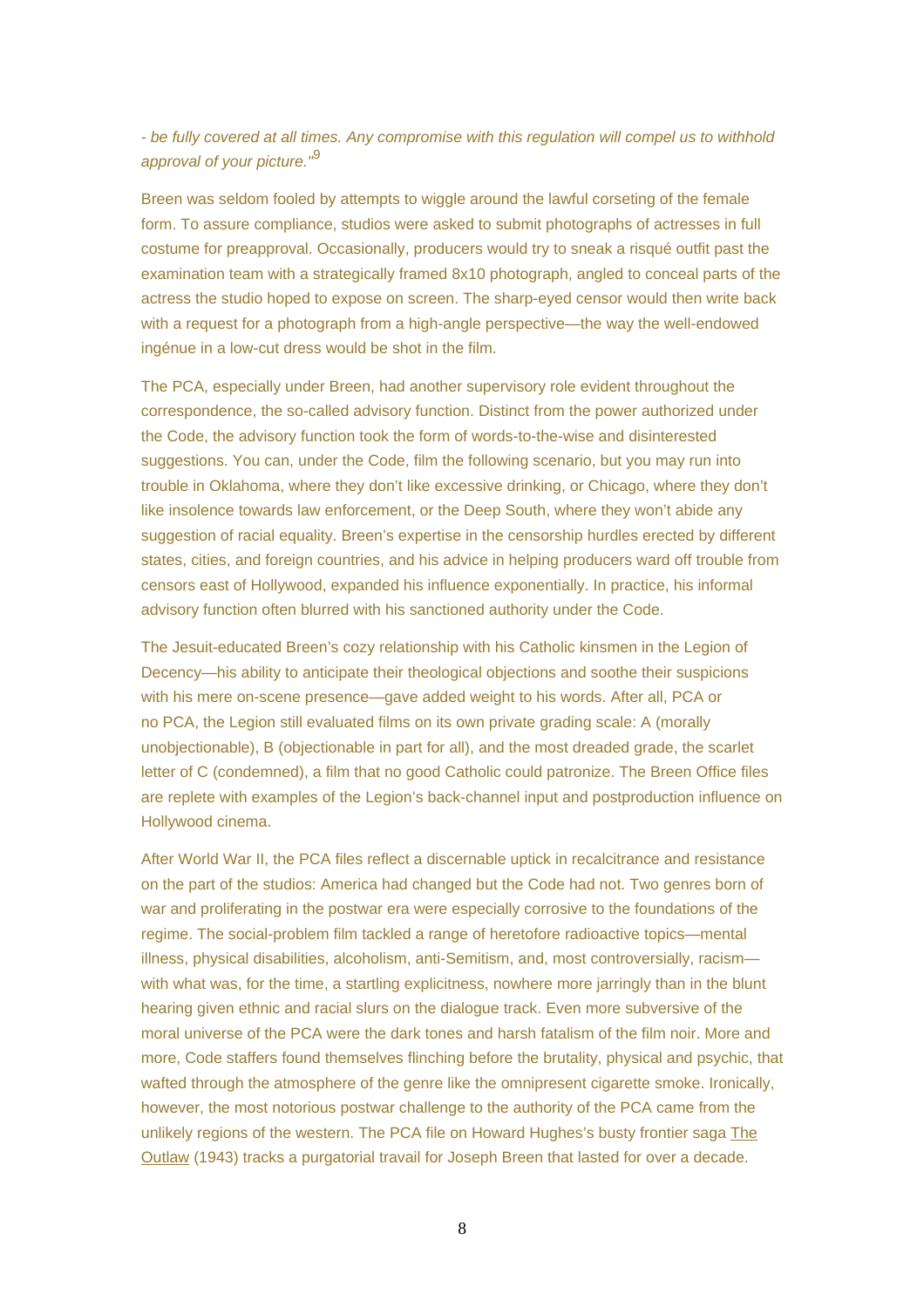- be fully covered at all times. Any compromise with this regulation will compel us to withhold approval of your picture.<sup>"9</sup>

Breen was seldom fooled by attempts to wiggle around the lawful corseting of the female form. To assure compliance, studios were asked to submit photographs of actresses in full costume for preapproval. Occasionally, producers would try to sneak a risqué outfit past the examination team with a strategically framed 8x10 photograph, angled to conceal parts of the actress the studio hoped to expose on screen. The sharp-eyed censor would then write back with a request for a photograph from a high-angle perspective—the way the well-endowed ingénue in a low-cut dress would be shot in the film.

The PCA, especially under Breen, had another supervisory role evident throughout the correspondence, the so-called advisory function. Distinct from the power authorized under the Code, the advisory function took the form of words-to-the-wise and disinterested suggestions. You can, under the Code, film the following scenario, but you may run into trouble in Oklahoma, where they don't like excessive drinking, or Chicago, where they don't like insolence towards law enforcement, or the Deep South, where they won't abide any suggestion of racial equality. Breen's expertise in the censorship hurdles erected by different states, cities, and foreign countries, and his advice in helping producers ward off trouble from censors east of Hollywood, expanded his influence exponentially. In practice, his informal advisory function often blurred with his sanctioned authority under the Code.

The Jesuit-educated Breen's cozy relationship with his Catholic kinsmen in the Legion of Decency—his ability to anticipate their theological objections and soothe their suspicions with his mere on-scene presence—gave added weight to his words. After all, PCA or no PCA, the Legion still evaluated films on its own private grading scale: A (morally unobjectionable), B (objectionable in part for all), and the most dreaded grade, the scarlet letter of C (condemned), a film that no good Catholic could patronize. The Breen Office files are replete with examples of the Legion's back-channel input and postproduction influence on Hollywood cinema.

After World War II, the PCA files reflect a discernable uptick in recalcitrance and resistance on the part of the studios: America had changed but the Code had not. Two genres born of war and proliferating in the postwar era were especially corrosive to the foundations of the regime. The social-problem film tackled a range of heretofore radioactive topics—mental illness, physical disabilities, alcoholism, anti-Semitism, and, most controversially, racism with what was, for the time, a startling explicitness, nowhere more jarringly than in the blunt hearing given ethnic and racial slurs on the dialogue track. Even more subversive of the moral universe of the PCA were the dark tones and harsh fatalism of the film noir. More and more, Code staffers found themselves flinching before the brutality, physical and psychic, that wafted through the atmosphere of the genre like the omnipresent cigarette smoke. Ironically, however, the most notorious postwar challenge to the authority of the PCA came from the unlikely regions of the western. The PCA file on Howard Hughes's busty frontier saga The Outlaw (1943) tracks a purgatorial travail for Joseph Breen that lasted for over a decade.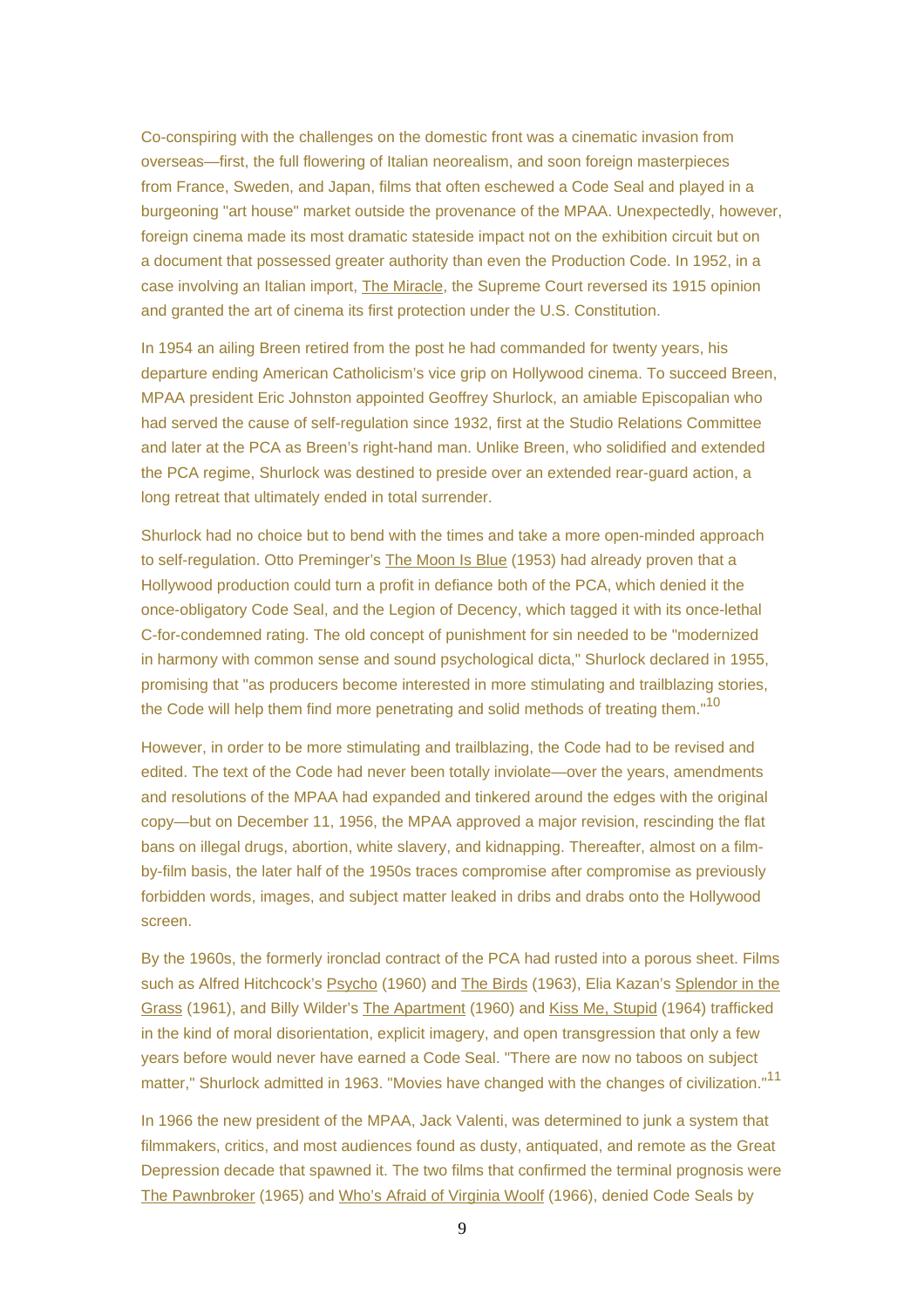Co-conspiring with the challenges on the domestic front was a cinematic invasion from overseas—first, the full flowering of Italian neorealism, and soon foreign masterpieces from France, Sweden, and Japan, films that often eschewed a Code Seal and played in a burgeoning "art house" market outside the provenance of the MPAA. Unexpectedly, however, foreign cinema made its most dramatic stateside impact not on the exhibition circuit but on a document that possessed greater authority than even the Production Code. In 1952, in a case involving an Italian import, The Miracle, the Supreme Court reversed its 1915 opinion and granted the art of cinema its first protection under the U.S. Constitution.

In 1954 an ailing Breen retired from the post he had commanded for twenty years, his departure ending American Catholicism's vice grip on Hollywood cinema. To succeed Breen, MPAA president Eric Johnston appointed Geoffrey Shurlock, an amiable Episcopalian who had served the cause of self-regulation since 1932, first at the Studio Relations Committee and later at the PCA as Breen's right-hand man. Unlike Breen, who solidified and extended the PCA regime, Shurlock was destined to preside over an extended rear-guard action, a long retreat that ultimately ended in total surrender.

Shurlock had no choice but to bend with the times and take a more open-minded approach to self-regulation. Otto Preminger's The Moon Is Blue (1953) had already proven that a Hollywood production could turn a profit in defiance both of the PCA, which denied it the once-obligatory Code Seal, and the Legion of Decency, which tagged it with its once-lethal C-for-condemned rating. The old concept of punishment for sin needed to be "modernized in harmony with common sense and sound psychological dicta," Shurlock declared in 1955, promising that "as producers become interested in more stimulating and trailblazing stories, the Code will help them find more penetrating and solid methods of treating them."<sup>10</sup>

However, in order to be more stimulating and trailblazing, the Code had to be revised and edited. The text of the Code had never been totally inviolate—over the years, amendments and resolutions of the MPAA had expanded and tinkered around the edges with the original copy—but on December 11, 1956, the MPAA approved a major revision, rescinding the flat bans on illegal drugs, abortion, white slavery, and kidnapping. Thereafter, almost on a filmby-film basis, the later half of the 1950s traces compromise after compromise as previously forbidden words, images, and subject matter leaked in dribs and drabs onto the Hollywood screen.

By the 1960s, the formerly ironclad contract of the PCA had rusted into a porous sheet. Films such as Alfred Hitchcock's Psycho (1960) and The Birds (1963), Elia Kazan's Splendor in the Grass (1961), and Billy Wilder's The Apartment (1960) and Kiss Me, Stupid (1964) trafficked in the kind of moral disorientation, explicit imagery, and open transgression that only a few years before would never have earned a Code Seal. "There are now no taboos on subject matter," Shurlock admitted in 1963. "Movies have changed with the changes of civilization."<sup>11</sup>

In 1966 the new president of the MPAA, Jack Valenti, was determined to junk a system that filmmakers, critics, and most audiences found as dusty, antiquated, and remote as the Great Depression decade that spawned it. The two films that confirmed the terminal prognosis were The Pawnbroker (1965) and Who's Afraid of Virginia Woolf (1966), denied Code Seals by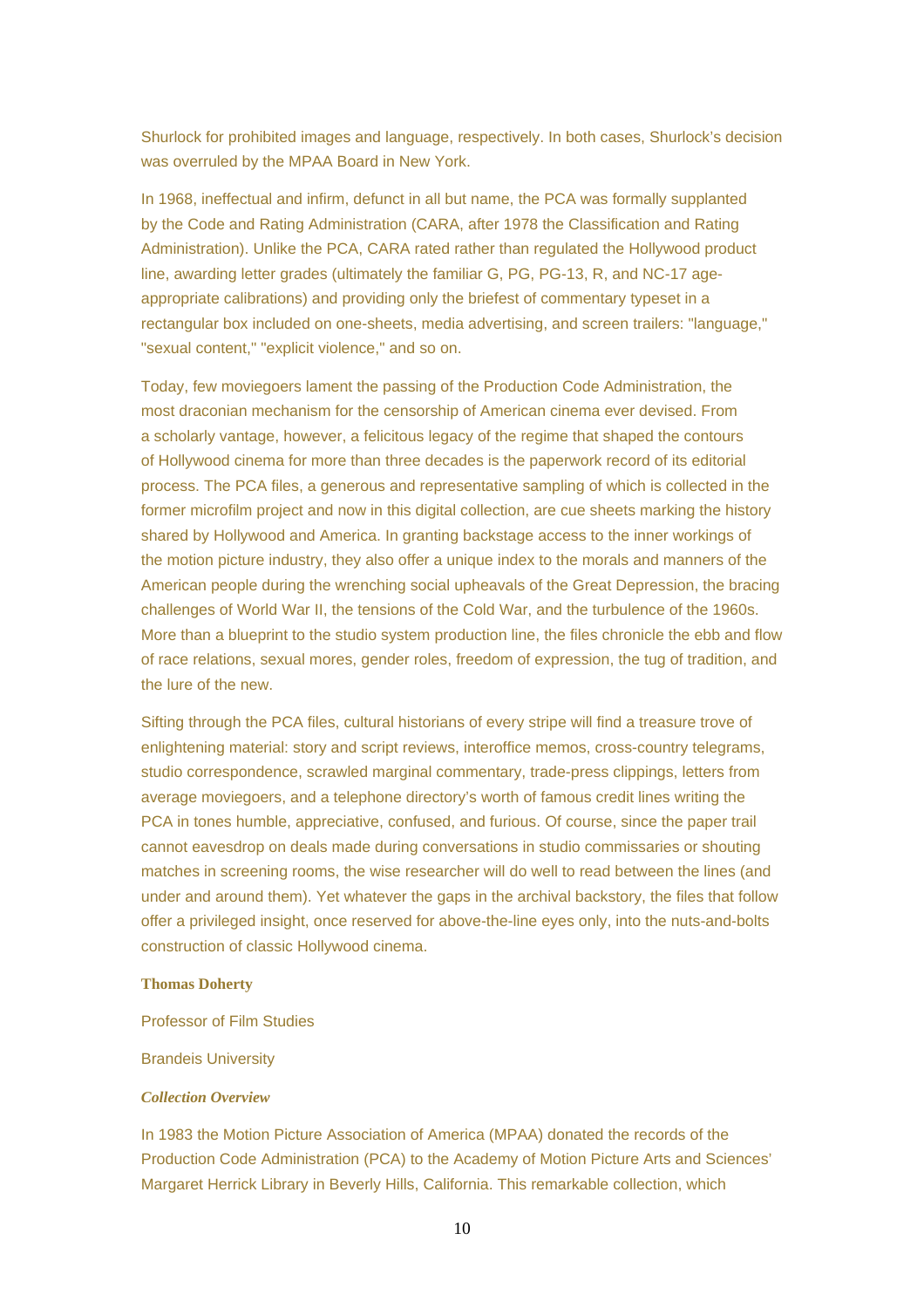Shurlock for prohibited images and language, respectively. In both cases, Shurlock's decision was overruled by the MPAA Board in New York.

In 1968, ineffectual and infirm, defunct in all but name, the PCA was formally supplanted by the Code and Rating Administration (CARA, after 1978 the Classification and Rating Administration). Unlike the PCA, CARA rated rather than regulated the Hollywood product line, awarding letter grades (ultimately the familiar G, PG, PG-13, R, and NC-17 ageappropriate calibrations) and providing only the briefest of commentary typeset in a rectangular box included on one-sheets, media advertising, and screen trailers: "language," "sexual content," "explicit violence," and so on.

Today, few moviegoers lament the passing of the Production Code Administration, the most draconian mechanism for the censorship of American cinema ever devised. From a scholarly vantage, however, a felicitous legacy of the regime that shaped the contours of Hollywood cinema for more than three decades is the paperwork record of its editorial process. The PCA files, a generous and representative sampling of which is collected in the former microfilm project and now in this digital collection, are cue sheets marking the history shared by Hollywood and America. In granting backstage access to the inner workings of the motion picture industry, they also offer a unique index to the morals and manners of the American people during the wrenching social upheavals of the Great Depression, the bracing challenges of World War II, the tensions of the Cold War, and the turbulence of the 1960s. More than a blueprint to the studio system production line, the files chronicle the ebb and flow of race relations, sexual mores, gender roles, freedom of expression, the tug of tradition, and the lure of the new.

Sifting through the PCA files, cultural historians of every stripe will find a treasure trove of enlightening material: story and script reviews, interoffice memos, cross-country telegrams, studio correspondence, scrawled marginal commentary, trade-press clippings, letters from average moviegoers, and a telephone directory's worth of famous credit lines writing the PCA in tones humble, appreciative, confused, and furious. Of course, since the paper trail cannot eavesdrop on deals made during conversations in studio commissaries or shouting matches in screening rooms, the wise researcher will do well to read between the lines (and under and around them). Yet whatever the gaps in the archival backstory, the files that follow offer a privileged insight, once reserved for above-the-line eyes only, into the nuts-and-bolts construction of classic Hollywood cinema.

#### **Thomas Doherty**

Professor of Film Studies

#### Brandeis University

#### *Collection Overview*

In 1983 the Motion Picture Association of America (MPAA) donated the records of the Production Code Administration (PCA) to the Academy of Motion Picture Arts and Sciences' Margaret Herrick Library in Beverly Hills, California. This remarkable collection, which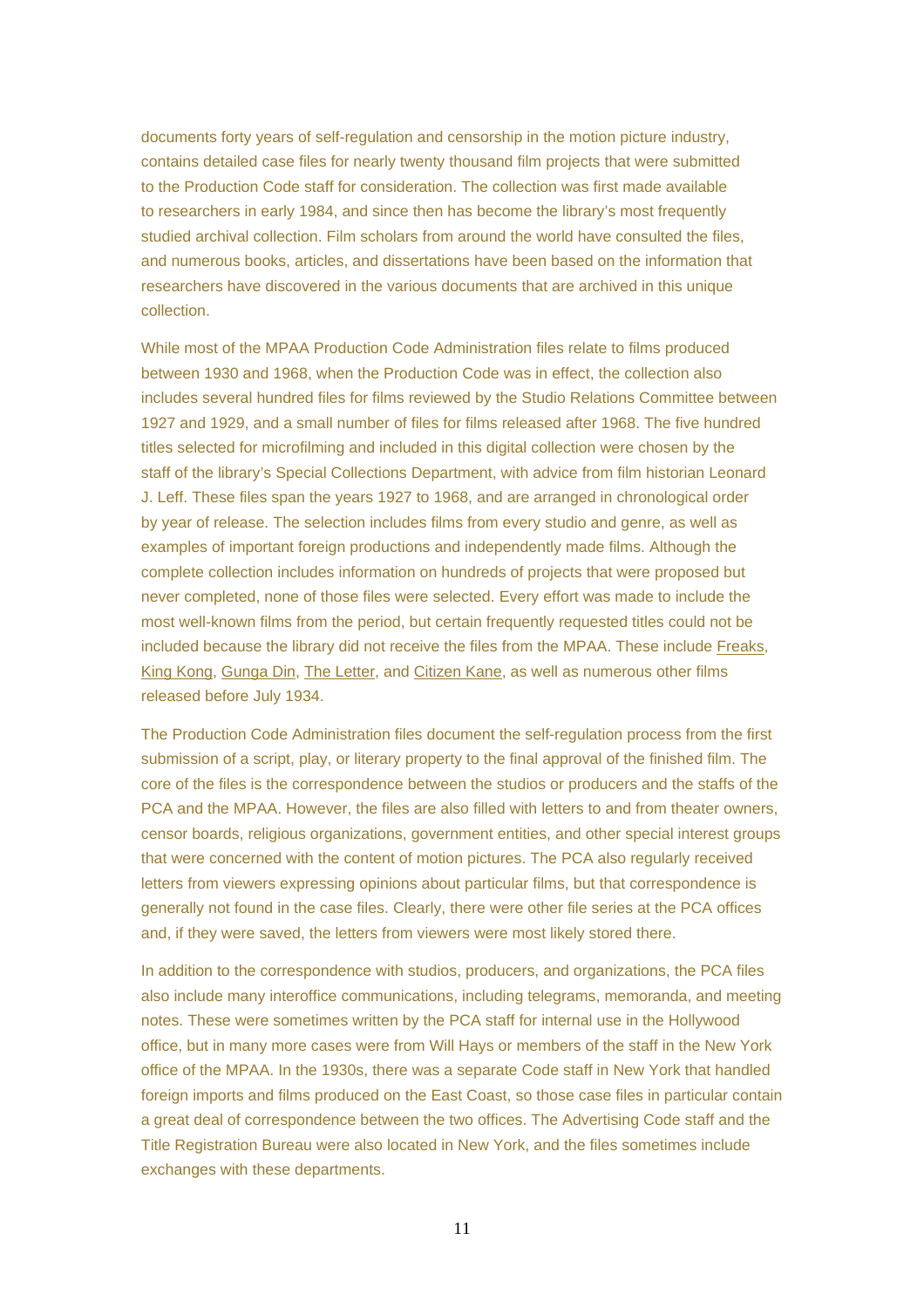documents forty years of self-regulation and censorship in the motion picture industry, contains detailed case files for nearly twenty thousand film projects that were submitted to the Production Code staff for consideration. The collection was first made available to researchers in early 1984, and since then has become the library's most frequently studied archival collection. Film scholars from around the world have consulted the files, and numerous books, articles, and dissertations have been based on the information that researchers have discovered in the various documents that are archived in this unique collection.

While most of the MPAA Production Code Administration files relate to films produced between 1930 and 1968, when the Production Code was in effect, the collection also includes several hundred files for films reviewed by the Studio Relations Committee between 1927 and 1929, and a small number of files for films released after 1968. The five hundred titles selected for microfilming and included in this digital collection were chosen by the staff of the library's Special Collections Department, with advice from film historian Leonard J. Leff. These files span the years 1927 to 1968, and are arranged in chronological order by year of release. The selection includes films from every studio and genre, as well as examples of important foreign productions and independently made films. Although the complete collection includes information on hundreds of projects that were proposed but never completed, none of those files were selected. Every effort was made to include the most well-known films from the period, but certain frequently requested titles could not be included because the library did not receive the files from the MPAA. These include Freaks, King Kong, Gunga Din, The Letter, and Citizen Kane, as well as numerous other films released before July 1934.

The Production Code Administration files document the self-regulation process from the first submission of a script, play, or literary property to the final approval of the finished film. The core of the files is the correspondence between the studios or producers and the staffs of the PCA and the MPAA. However, the files are also filled with letters to and from theater owners, censor boards, religious organizations, government entities, and other special interest groups that were concerned with the content of motion pictures. The PCA also regularly received letters from viewers expressing opinions about particular films, but that correspondence is generally not found in the case files. Clearly, there were other file series at the PCA offices and, if they were saved, the letters from viewers were most likely stored there.

In addition to the correspondence with studios, producers, and organizations, the PCA files also include many interoffice communications, including telegrams, memoranda, and meeting notes. These were sometimes written by the PCA staff for internal use in the Hollywood office, but in many more cases were from Will Hays or members of the staff in the New York office of the MPAA. In the 1930s, there was a separate Code staff in New York that handled foreign imports and films produced on the East Coast, so those case files in particular contain a great deal of correspondence between the two offices. The Advertising Code staff and the Title Registration Bureau were also located in New York, and the files sometimes include exchanges with these departments.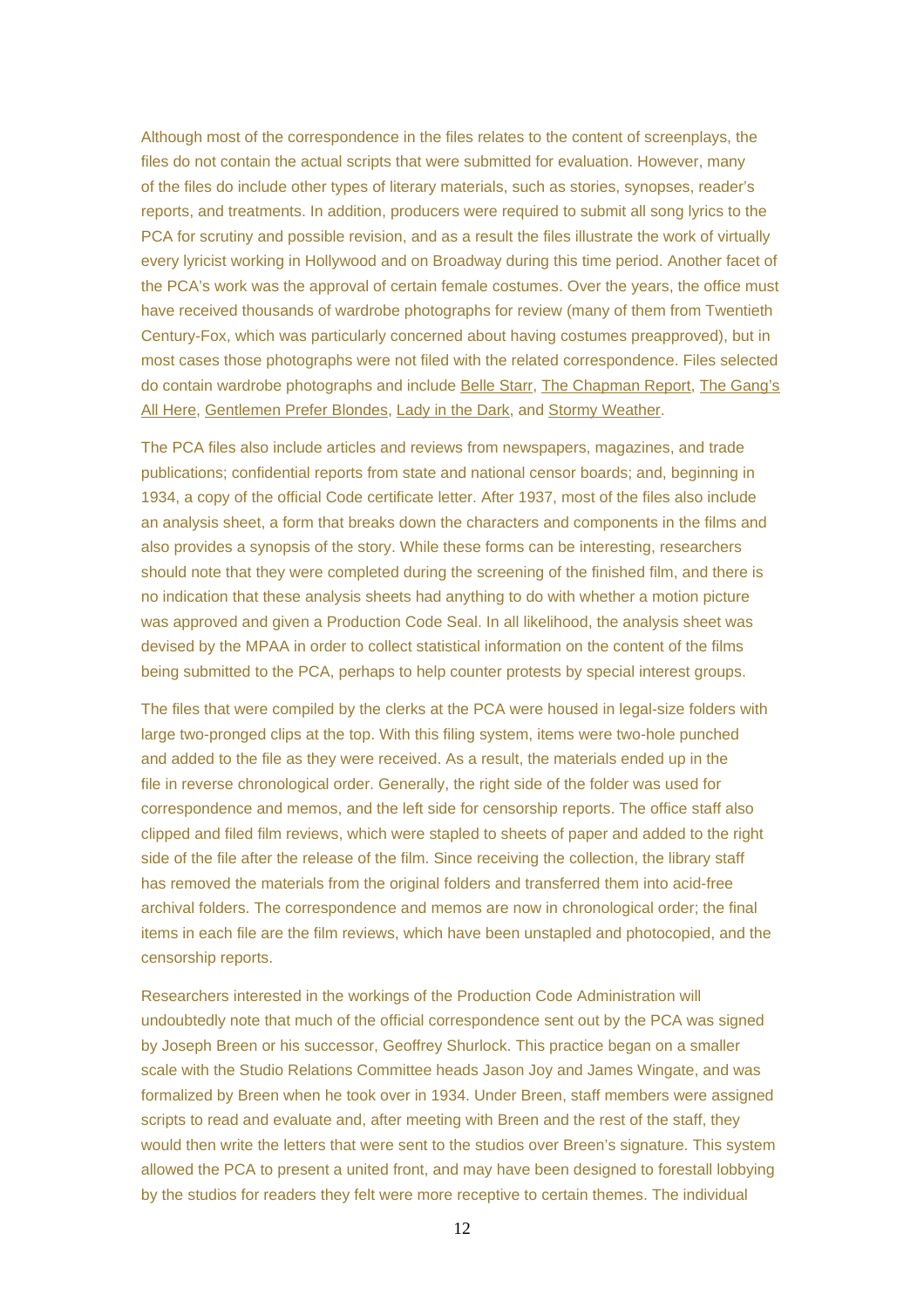Although most of the correspondence in the files relates to the content of screenplays, the files do not contain the actual scripts that were submitted for evaluation. However, many of the files do include other types of literary materials, such as stories, synopses, reader's reports, and treatments. In addition, producers were required to submit all song lyrics to the PCA for scrutiny and possible revision, and as a result the files illustrate the work of virtually every lyricist working in Hollywood and on Broadway during this time period. Another facet of the PCA's work was the approval of certain female costumes. Over the years, the office must have received thousands of wardrobe photographs for review (many of them from Twentieth Century-Fox, which was particularly concerned about having costumes preapproved), but in most cases those photographs were not filed with the related correspondence. Files selected do contain wardrobe photographs and include Belle Starr, The Chapman Report, The Gang's All Here, Gentlemen Prefer Blondes, Lady in the Dark, and Stormy Weather.

The PCA files also include articles and reviews from newspapers, magazines, and trade publications; confidential reports from state and national censor boards; and, beginning in 1934, a copy of the official Code certificate letter. After 1937, most of the files also include an analysis sheet, a form that breaks down the characters and components in the films and also provides a synopsis of the story. While these forms can be interesting, researchers should note that they were completed during the screening of the finished film, and there is no indication that these analysis sheets had anything to do with whether a motion picture was approved and given a Production Code Seal. In all likelihood, the analysis sheet was devised by the MPAA in order to collect statistical information on the content of the films being submitted to the PCA, perhaps to help counter protests by special interest groups.

The files that were compiled by the clerks at the PCA were housed in legal-size folders with large two-pronged clips at the top. With this filing system, items were two-hole punched and added to the file as they were received. As a result, the materials ended up in the file in reverse chronological order. Generally, the right side of the folder was used for correspondence and memos, and the left side for censorship reports. The office staff also clipped and filed film reviews, which were stapled to sheets of paper and added to the right side of the file after the release of the film. Since receiving the collection, the library staff has removed the materials from the original folders and transferred them into acid-free archival folders. The correspondence and memos are now in chronological order; the final items in each file are the film reviews, which have been unstapled and photocopied, and the censorship reports.

Researchers interested in the workings of the Production Code Administration will undoubtedly note that much of the official correspondence sent out by the PCA was signed by Joseph Breen or his successor, Geoffrey Shurlock. This practice began on a smaller scale with the Studio Relations Committee heads Jason Joy and James Wingate, and was formalized by Breen when he took over in 1934. Under Breen, staff members were assigned scripts to read and evaluate and, after meeting with Breen and the rest of the staff, they would then write the letters that were sent to the studios over Breen's signature. This system allowed the PCA to present a united front, and may have been designed to forestall lobbying by the studios for readers they felt were more receptive to certain themes. The individual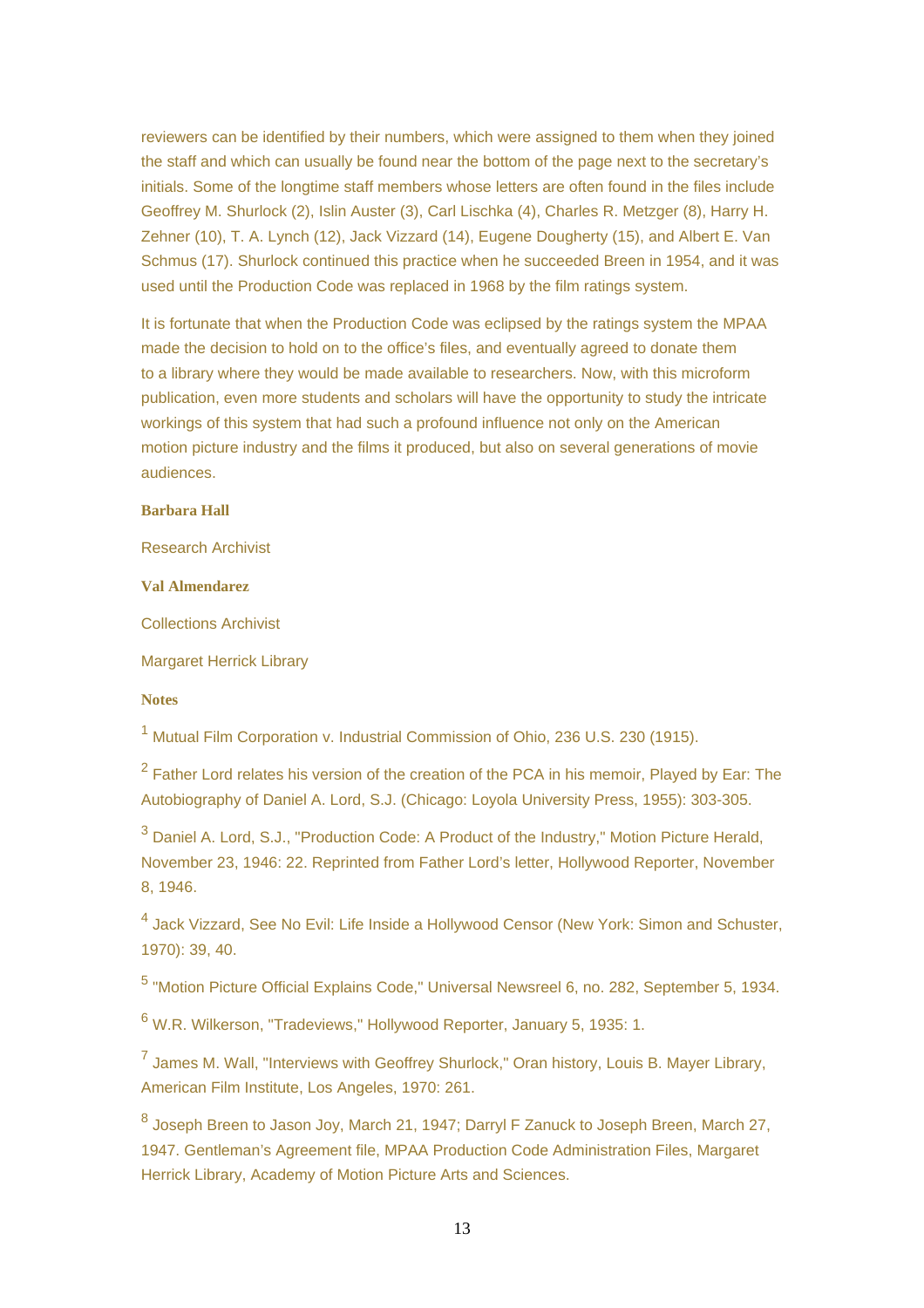reviewers can be identified by their numbers, which were assigned to them when they joined the staff and which can usually be found near the bottom of the page next to the secretary's initials. Some of the longtime staff members whose letters are often found in the files include Geoffrey M. Shurlock (2), Islin Auster (3), Carl Lischka (4), Charles R. Metzger (8), Harry H. Zehner (10), T. A. Lynch (12), Jack Vizzard (14), Eugene Dougherty (15), and Albert E. Van Schmus (17). Shurlock continued this practice when he succeeded Breen in 1954, and it was used until the Production Code was replaced in 1968 by the film ratings system.

It is fortunate that when the Production Code was eclipsed by the ratings system the MPAA made the decision to hold on to the office's files, and eventually agreed to donate them to a library where they would be made available to researchers. Now, with this microform publication, even more students and scholars will have the opportunity to study the intricate workings of this system that had such a profound influence not only on the American motion picture industry and the films it produced, but also on several generations of movie audiences.

## **Barbara Hall**

Research Archivist

**Val Almendarez**

Collections Archivist

Margaret Herrick Library

### **Notes**

<sup>1</sup> Mutual Film Corporation v. Industrial Commission of Ohio, 236 U.S. 230 (1915).

 $2$  Father Lord relates his version of the creation of the PCA in his memoir, Played by Ear: The Autobiography of Daniel A. Lord, S.J. (Chicago: Loyola University Press, 1955): 303-305.

<sup>3</sup> Daniel A. Lord, S.J., "Production Code: A Product of the Industry," Motion Picture Herald, November 23, 1946: 22. Reprinted from Father Lord's letter, Hollywood Reporter, November 8, 1946.

<sup>4</sup> Jack Vizzard, See No Evil: Life Inside a Hollywood Censor (New York: Simon and Schuster, 1970): 39, 40.

5 "Motion Picture Official Explains Code," Universal Newsreel 6, no. 282, September 5, 1934.

<sup>6</sup> W.R. Wilkerson, "Tradeviews," Hollywood Reporter, January 5, 1935: 1.

<sup>7</sup> James M. Wall, "Interviews with Geoffrey Shurlock," Oran history, Louis B. Mayer Library, American Film Institute, Los Angeles, 1970: 261.

<sup>8</sup> Joseph Breen to Jason Joy, March 21, 1947; Darryl F Zanuck to Joseph Breen, March 27, 1947. Gentleman's Agreement file, MPAA Production Code Administration Files, Margaret Herrick Library, Academy of Motion Picture Arts and Sciences.